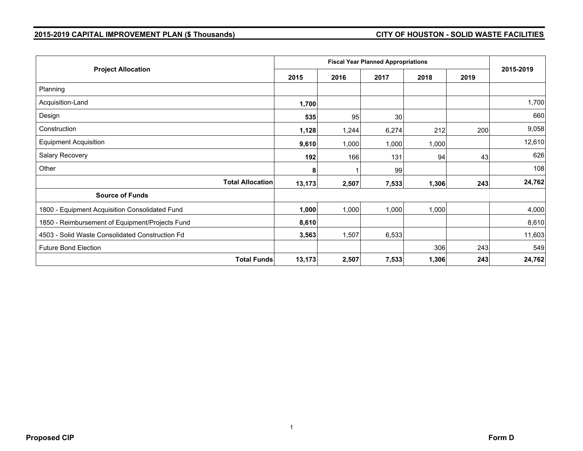## **2015-2019 CAPITAL IMPROVEMENT PLAN (\$ Thousands) CITY OF HOUSTON - SOLID WASTE FACILITIES**

| <b>Project Allocation</b>                       |                         |        |       |       |       |      |           |
|-------------------------------------------------|-------------------------|--------|-------|-------|-------|------|-----------|
|                                                 |                         | 2015   | 2016  | 2017  | 2018  | 2019 | 2015-2019 |
| Planning                                        |                         |        |       |       |       |      |           |
| Acquisition-Land                                |                         | 1,700  |       |       |       |      | 1,700     |
| Design                                          |                         | 535    | 95    | 30    |       |      | 660       |
| Construction                                    |                         | 1,128  | 1,244 | 6,274 | 212   | 200  | 9,058     |
| <b>Equipment Acquisition</b>                    |                         | 9,610  | 1,000 | 1,000 | 1,000 |      | 12,610    |
| Salary Recovery                                 |                         | 192    | 166   | 131   | 94    | 43   | 626       |
| Other                                           |                         | 8      |       | 99    |       |      | 108       |
|                                                 | <b>Total Allocation</b> | 13,173 | 2,507 | 7,533 | 1,306 | 243  | 24,762    |
| <b>Source of Funds</b>                          |                         |        |       |       |       |      |           |
| 1800 - Equipment Acquisition Consolidated Fund  |                         | 1,000  | 1,000 | 1,000 | 1,000 |      | 4,000     |
| 1850 - Reimbursement of Equipment/Projects Fund |                         | 8,610  |       |       |       |      | 8,610     |
| 4503 - Solid Waste Consolidated Construction Fd |                         | 3,563  | 1,507 | 6,533 |       |      | 11,603    |
| <b>Future Bond Election</b>                     |                         |        |       |       | 306   | 243  | 549       |
|                                                 | <b>Total Funds</b>      | 13,173 | 2,507 | 7,533 | 1,306 | 243  | 24,762    |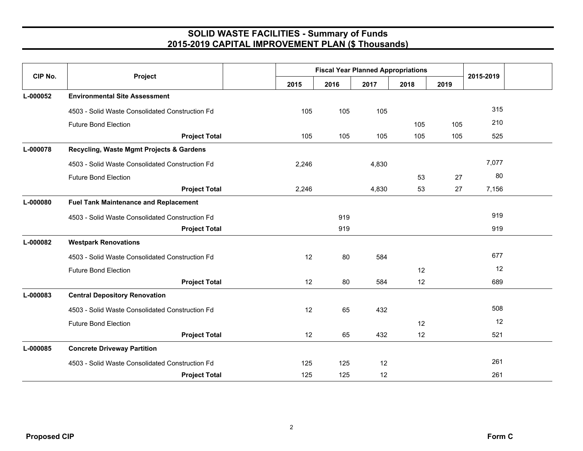## **SOLID WASTE FACILITIES - Summary of Funds 2015-2019 CAPITAL IMPROVEMENT PLAN (\$ Thousands)**

| CIP No.  | Project                                         | <b>Fiscal Year Planned Appropriations</b> |      |       |      |      |           |  |
|----------|-------------------------------------------------|-------------------------------------------|------|-------|------|------|-----------|--|
|          |                                                 | 2015                                      | 2016 | 2017  | 2018 | 2019 | 2015-2019 |  |
| L-000052 | <b>Environmental Site Assessment</b>            |                                           |      |       |      |      |           |  |
|          | 4503 - Solid Waste Consolidated Construction Fd | 105                                       | 105  | 105   |      |      | 315       |  |
|          | <b>Future Bond Election</b>                     |                                           |      |       | 105  | 105  | 210       |  |
|          | <b>Project Total</b>                            | 105                                       | 105  | 105   | 105  | 105  | 525       |  |
| L-000078 | Recycling, Waste Mgmt Projects & Gardens        |                                           |      |       |      |      |           |  |
|          | 4503 - Solid Waste Consolidated Construction Fd | 2,246                                     |      | 4,830 |      |      | 7,077     |  |
|          | <b>Future Bond Election</b>                     |                                           |      |       | 53   | 27   | 80        |  |
|          | <b>Project Total</b>                            | 2,246                                     |      | 4,830 | 53   | 27   | 7,156     |  |
| L-000080 | <b>Fuel Tank Maintenance and Replacement</b>    |                                           |      |       |      |      |           |  |
|          | 4503 - Solid Waste Consolidated Construction Fd |                                           | 919  |       |      |      | 919       |  |
|          | <b>Project Total</b>                            |                                           | 919  |       |      |      | 919       |  |
| L-000082 | <b>Westpark Renovations</b>                     |                                           |      |       |      |      |           |  |
|          | 4503 - Solid Waste Consolidated Construction Fd | 12                                        | 80   | 584   |      |      | 677       |  |
|          | <b>Future Bond Election</b>                     |                                           |      |       | 12   |      | 12        |  |
|          | <b>Project Total</b>                            | 12                                        | 80   | 584   | 12   |      | 689       |  |
| L-000083 | <b>Central Depository Renovation</b>            |                                           |      |       |      |      |           |  |
|          | 4503 - Solid Waste Consolidated Construction Fd | 12                                        | 65   | 432   |      |      | 508       |  |
|          | <b>Future Bond Election</b>                     |                                           |      |       | 12   |      | 12        |  |
|          | <b>Project Total</b>                            | 12                                        | 65   | 432   | 12   |      | 521       |  |
| L-000085 | <b>Concrete Driveway Partition</b>              |                                           |      |       |      |      |           |  |
|          | 4503 - Solid Waste Consolidated Construction Fd | 125                                       | 125  | 12    |      |      | 261       |  |
|          | <b>Project Total</b>                            | 125                                       | 125  | 12    |      |      | 261       |  |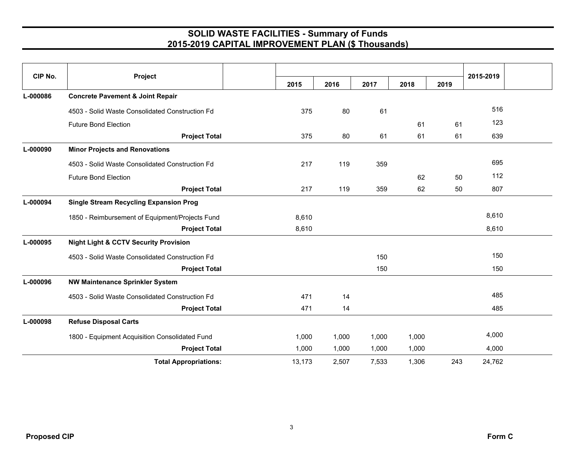## **SOLID WASTE FACILITIES - Summary of Funds 2015-2019 CAPITAL IMPROVEMENT PLAN (\$ Thousands)**

| CIP No.  | Project                                          |  |        |       |       |       |      | 2015-2019 |  |
|----------|--------------------------------------------------|--|--------|-------|-------|-------|------|-----------|--|
|          |                                                  |  | 2015   | 2016  | 2017  | 2018  | 2019 |           |  |
| L-000086 | <b>Concrete Pavement &amp; Joint Repair</b>      |  |        |       |       |       |      |           |  |
|          | 4503 - Solid Waste Consolidated Construction Fd  |  | 375    | 80    | 61    |       |      | 516       |  |
|          | <b>Future Bond Election</b>                      |  |        |       |       | 61    | 61   | 123       |  |
|          | <b>Project Total</b>                             |  | 375    | 80    | 61    | 61    | 61   | 639       |  |
| L-000090 | <b>Minor Projects and Renovations</b>            |  |        |       |       |       |      |           |  |
|          | 4503 - Solid Waste Consolidated Construction Fd  |  | 217    | 119   | 359   |       |      | 695       |  |
|          | <b>Future Bond Election</b>                      |  |        |       |       | 62    | 50   | 112       |  |
|          | <b>Project Total</b>                             |  | 217    | 119   | 359   | 62    | 50   | 807       |  |
| L-000094 | <b>Single Stream Recycling Expansion Prog</b>    |  |        |       |       |       |      |           |  |
|          | 1850 - Reimbursement of Equipment/Projects Fund  |  | 8,610  |       |       |       |      | 8,610     |  |
|          | <b>Project Total</b>                             |  | 8,610  |       |       |       |      | 8,610     |  |
| L-000095 | <b>Night Light &amp; CCTV Security Provision</b> |  |        |       |       |       |      |           |  |
|          | 4503 - Solid Waste Consolidated Construction Fd  |  |        |       | 150   |       |      | 150       |  |
|          | <b>Project Total</b>                             |  |        |       | 150   |       |      | 150       |  |
| L-000096 | <b>NW Maintenance Sprinkler System</b>           |  |        |       |       |       |      |           |  |
|          | 4503 - Solid Waste Consolidated Construction Fd  |  | 471    | 14    |       |       |      | 485       |  |
|          | <b>Project Total</b>                             |  | 471    | 14    |       |       |      | 485       |  |
| L-000098 | <b>Refuse Disposal Carts</b>                     |  |        |       |       |       |      |           |  |
|          | 1800 - Equipment Acquisition Consolidated Fund   |  | 1,000  | 1,000 | 1,000 | 1,000 |      | 4,000     |  |
|          | <b>Project Total</b>                             |  | 1,000  | 1,000 | 1,000 | 1,000 |      | 4,000     |  |
|          | <b>Total Appropriations:</b>                     |  | 13,173 | 2,507 | 7,533 | 1,306 | 243  | 24,762    |  |